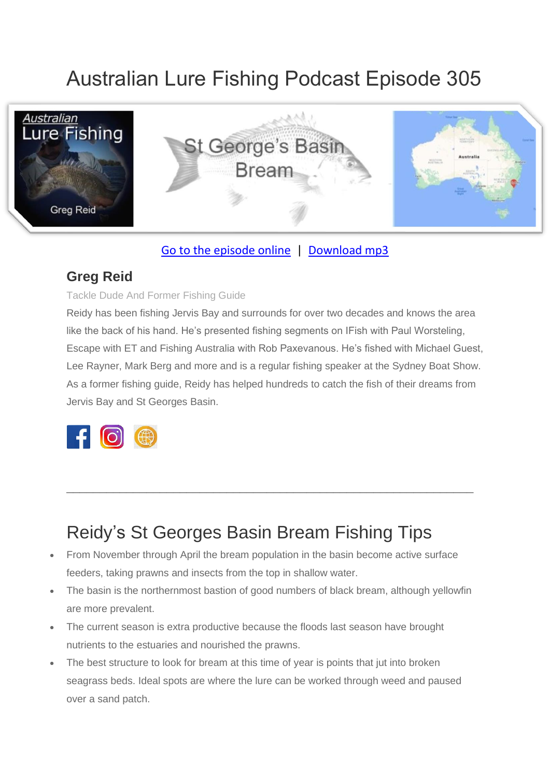# Australian Lure Fishing Podcast Episode 305



### [Go to the episode online](https://doclures.com/georges-basin-bream-greg-reid/) | [Download mp3](https://traffic.libsyn.com/secure/doclures/st-georges-basin-bream-greg-reid.mp3)

### **Greg Reid**

#### Tackle Dude And Former Fishing Guide

Reidy has been fishing Jervis Bay and surrounds for over two decades and knows the area like the back of his hand. He's presented fishing segments on IFish with Paul Worsteling, Escape with ET and Fishing Australia with Rob Paxevanous. He's fished with Michael Guest, Lee Rayner, Mark Berg and more and is a regular fishing speaker at the Sydney Boat Show. As a former fishing guide, Reidy has helped hundreds to catch the fish of their dreams from Jervis Bay and St Georges Basin.



## Reidy's St Georges Basin Bream Fishing Tips

\_\_\_\_\_\_\_\_\_\_\_\_\_\_\_\_\_\_\_\_\_\_\_\_\_\_\_\_\_\_\_\_\_\_\_\_\_\_\_\_\_\_\_\_\_\_\_\_\_\_\_\_\_\_\_\_\_\_\_\_\_

- From November through April the bream population in the basin become active surface feeders, taking prawns and insects from the top in shallow water.
- The basin is the northernmost bastion of good numbers of black bream, although yellowfin are more prevalent.
- The current season is extra productive because the floods last season have brought nutrients to the estuaries and nourished the prawns.
- The best structure to look for bream at this time of year is points that jut into broken seagrass beds. Ideal spots are where the lure can be worked through weed and paused over a sand patch.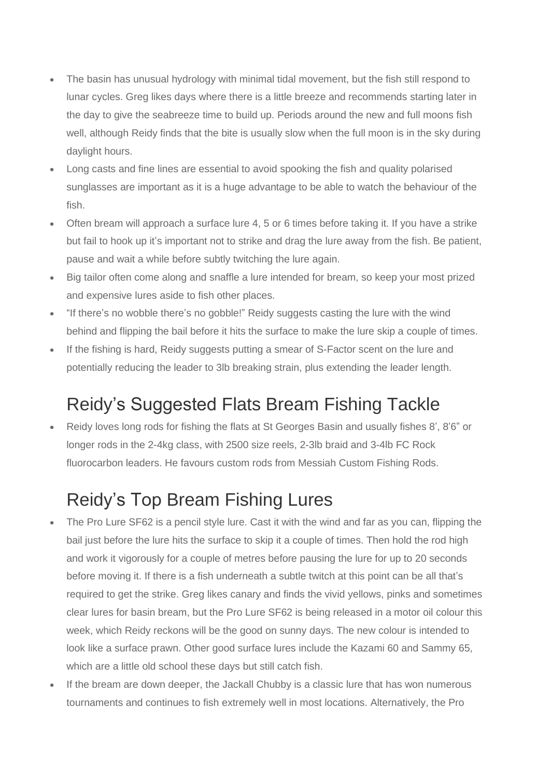- The basin has unusual hydrology with minimal tidal movement, but the fish still respond to lunar cycles. Greg likes days where there is a little breeze and recommends starting later in the day to give the seabreeze time to build up. Periods around the new and full moons fish well, although Reidy finds that the bite is usually slow when the full moon is in the sky during daylight hours.
- Long casts and fine lines are essential to avoid spooking the fish and quality polarised sunglasses are important as it is a huge advantage to be able to watch the behaviour of the fish.
- Often bream will approach a surface lure 4, 5 or 6 times before taking it. If you have a strike but fail to hook up it's important not to strike and drag the lure away from the fish. Be patient, pause and wait a while before subtly twitching the lure again.
- Big tailor often come along and snaffle a lure intended for bream, so keep your most prized and expensive lures aside to fish other places.
- "If there's no wobble there's no gobble!" Reidy suggests casting the lure with the wind behind and flipping the bail before it hits the surface to make the lure skip a couple of times.
- If the fishing is hard, Reidy suggests putting a smear of S-Factor scent on the lure and potentially reducing the leader to 3lb breaking strain, plus extending the leader length.

## Reidy's Suggested Flats Bream Fishing Tackle

• Reidy loves long rods for fishing the flats at St Georges Basin and usually fishes 8', 8'6" or longer rods in the 2-4kg class, with 2500 size reels, 2-3lb braid and 3-4lb FC Rock fluorocarbon leaders. He favours custom rods from Messiah Custom Fishing Rods.

## Reidy's Top Bream Fishing Lures

- The Pro Lure SF62 is a pencil style lure. Cast it with the wind and far as you can, flipping the bail just before the lure hits the surface to skip it a couple of times. Then hold the rod high and work it vigorously for a couple of metres before pausing the lure for up to 20 seconds before moving it. If there is a fish underneath a subtle twitch at this point can be all that's required to get the strike. Greg likes canary and finds the vivid yellows, pinks and sometimes clear lures for basin bream, but the Pro Lure SF62 is being released in a motor oil colour this week, which Reidy reckons will be the good on sunny days. The new colour is intended to look like a surface prawn. Other good surface lures include the Kazami 60 and Sammy 65, which are a little old school these days but still catch fish.
- If the bream are down deeper, the Jackall Chubby is a classic lure that has won numerous tournaments and continues to fish extremely well in most locations. Alternatively, the Pro